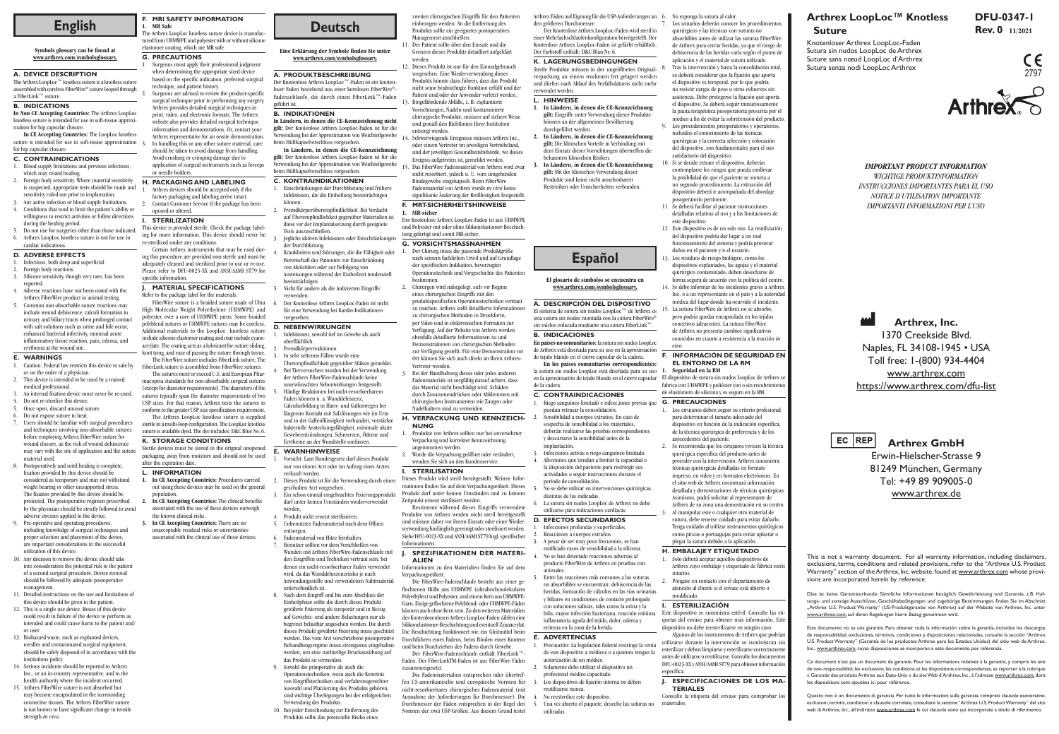**Arthrex GmbH** Erwin-Hielscher-Strasse 9 81249 München, Germany Tel: +49 89 909005-0 www.arthrex.de

**Arthrex, Inc.**

## **Arthrex LoopLoc™ Knotless Suture** English **Rev. 0 11/2021**<br>
The Arthrex LoopLoc Knotless suture device is manufac-<br>
The Arthrex LoopLoc Knotless suture device is manufac-<br>
The Arthres LoopLoc Knotless suture device is manufac-<br> **English** Suture Substantion

1370 Creekside Blvd. Naples, FL 34108-1945 • USA Toll free: 1-(800) 934-4404 www.arthrex.com https://www.arthrex.com/dfu-list

EC REP

Knotenloser Arthrex LoopLoc-Faden Sutura sin nudos LoopLoc de Arthrex Suture sans nœud LoopLoc d'Arthrex Sutura senza nodi LoopLoc Arthrex

*IMPORTANT PRODUCT INFORMATION WICHTIGE PRODUKTINFORMATION INSTRUCCIONES IMPORTANTES PARA EL USO NOTICE D'UTILISATION IMPORTANTE IMPORTANTI INFORMAZIONI PER L'USO*

#### **F. MRI SAFETY INFORMATION 1. MR Safe**

The Arthrex LoopLoc knotless suture device is manufactured from UHMWPE and polyester with or without silicone elastomer coating, which are MR safe.

#### **G. PRECAUTIONS**

- Surgeons must apply their professional judgment when determining the appropriate sized device based on the specific indication, preferred surgical technique, and patient history.
- Surgeons are advised to review the product-specific surgical technique prior to performing any surgery. Arthrex provides detailed surgical techniques in print, video, and electronic formats. The Arthrex website also provides detailed surgical technique information and demonstrations. Or, contact your Arthrex representative for an onsite demonstration. In handling this or any other suture material, care
- should be taken to avoid damage from handling. Avoid crushing or crimping damage due to application of surgical instruments such as forceps or needle holders.
- **H. PACKAGING AND LABELING** Arthrex devices should be accepted only if the
- factory packaging and labeling arrive intact. 2. Contact Customer Service if the package has been opened or altered.
- **I. STERILIZATION**
- This device is provided sterile. Check the package labeling for more information. This device should never be re-sterilized under any conditions.

Certain Arthrex instruments that may be used during this procedure are provided non-sterile and must be adequately cleaned and sterilized prior to use or re-use. Please refer to DFU-0023-XX and ANSI/AAMI ST79 for specific information

**J. MATERIAL SPECIFICATIONS** Refer to the package label for the material

FiberWire suture is a braided suture made of Ultra High Molecular Weight Polyethylene (UHMWPE) and polyester, over a core of UHMWPE yarns. Some braided polyblend sutures or UHMWPE sutures may be coreless. Additional materials to the LoopLoc knotless suture include silicone elastomer coating and may include cyanoacrylate. The coating acts as a lubricant for suture sliding, knot tying, and ease of passing the suture through tissue.

> Questo non è un documento di garanzia. Per tutte le informazioni sulla garanzia, compresi clausole esonerative, esclusioni, termini, condizioni e clausole correlate, consultare la sezione "Arthrex U.S. Product Warranty" del sito web di Arthrex, Inc., all'indirizzo <u>www.arthrex.com</u> le cui clausole sono qui incorporate a titolo di riferimento

The FiberWire suture includes FiberLink suture. The FiberLink suture is assembled from FiberWire sutures.

The sutures meet or exceed U.S. and European Pharmacopeia standards for non-absorbable surgical sutures (except for diameter requirements). The diameters of the ares typically span the diameter requirements of two USP sizes. For that reason, Arthrex tests the sutures to conform to the greater USP size specification requirement.

The Arthrex LoopLoc knotless suture is supplied sterile in a multi-loop configuration. The LoopLoc knotless suture is available dyed. The dye includes: D&C Blue No. 6.

# **K. STORAGE CONDITIONS**

Sterile devices must be stored in the original unopened packaging, away from moisture and should not be used after the expiration date.

- **L. INFORMATION**
- **1. In CE Accepting Countries:** Procedures carried out using these devices may be used on the general population.
- **2. In CE Accepting Countries:** The clinical benefits associated with the use of these devices outweigh the known clinical risks.
- **3. In CE Accepting Countries:** There are no unacceptable residual risks or uncertainties associated with the clinical use of these devices.

This is not a warranty document. For all warranty information, including disclaimers, exclusions, terms, conditions and related provisions, refer to the "Arthrex U.S. Product Warranty" section of the Arthrex, Inc. website, found at www.arthrex.com whose provisions are incorporated herein by reference.

Dies ist keine Garantieurkunde. Sämtliche Informationen bezüglich Gewährleistung und Garantie, z.B. Haftungs- und sonstige Ausschlüsse, Geschäftsbedingungen und zugehörige Bestimmungen, finden Sie im Abschnitt "Arthrex U.S. Product Warranty" (US-Produktgarantie von Arthrex) auf der Website von Arthrex, Inc. unter www.arthrex.com, auf deren Regelungen hierin Bezug genommen wird.

Este documento no es una garantía. Para obtener toda la información sobre la garantía, incluidos los descargos de responsabilidad, exclusiones, términos, condiciones y disposiciones relacionadas, consulte la sección "Arthrex U.S. Product Warranty" (Garantía de los productos Arthrex para los Estados Unidos) del sitio web de Arthrex, Inc., www.arthrex.com, cuyas disposiciones se incorporan a este documento por referencia.

Ce document n'est pas un document de garantie. Pour les informations relatives à la garantie, y compris les avis de non-responsabilité, les exclusions, les conditions et les dispositions correspondantes, se reporter à la rubrique « Garantie des produits Arthrex aux États-Unis » du site Web d'Arthrex, Inc., à l'adresse www.arthrex.com, dont les dispositions sont ajoutées ici pour référence.

**Eine Erklärung der Symbole finden Sie unter www.arthrex.com/symbolsglossary.**

#### **A. PRODUKTBESCHREIBUNG**

Der Knotenlose Arthrex LoopLoc™-Faden ist ein knotenloser Faden bestehend aus einer kernlosen FiberWire®- Fadenschlaufe, die durch einen FiberLink™-Faden geführt ist.

#### **B. INDIKATIONEN**

**In Ländern, in denen die CE-Kennzeichnung nicht gilt:** Der Knotenlose Arthrex LoopLoc-Faden ist für die Verwendung bei der Approximation von Weichteilgewebe beim Hüftkapselverschluss vorgesehen.

**In Ländern, in denen die CE-Kennzeichnung gilt:** Der Knotenlose Arthrex LoopLoc-Faden ist für die Verwendung bei der Approximation von Weichteilgewebe beim Hüftkapselverschluss vorgesehen.

#### **C. KONTRAINDIKATIONEN**

- 1. Einschränkungen der Durchblutung und frühere Infektionen, die die Einheilung beeinträchtigen können.
- 2. Fremdkörperüberempfindlichkeit. Bei Verdacht auf Überempfindlichkeit gegenüber Materialien ist diese vor der Implantatsetzung durch geeignete Tests auszuschließen. 3. Jegliche aktiven Infektionen oder Einschränkungen
- der Durchblutung. 4. Krankheiten und Störungen, die die Fähigkeit oder Bereitschaft des Patienten zur Einschränkung
- von Aktivitäten oder zur Befolgung von Anweisungen während der Einheilzeit tendenziell beeinträchtigen. 5. Nicht für andere als die indizierten Eingriffe
- verwenden
- 6. Der Knotenlose Arthrex LoopLoc-Faden ist nicht für eine Verwendung bei Kardio-Indikationen vorgesehen.

### **D. NEBENWIRKUNGEN**

- 1. Infektionen, sowohl tief im Gewebe als auch oberflächlich. 2. Fremdkörperreaktionen.
- In sehr seltenen Fällen wurde eine
- Überempfindlichkeit gegenüber Silikon gemeldet. 4. Bei Tierversuchen wurden bei der Verwendung der Arthrex FiberWire-Fadenschlaufe keine
- unerwünschten Nebenwirkungen festgestellt. 5. Häufige Reaktionen bei nicht-resorbierbarem
- Faden können u. a. Wunddehiszenz, Calculusbildung in Harn- und Gallenwegen bei längerem Kontakt mit Salzlösungen wie im Urin und in der Gallenflüssigkeit vorhanden, verstärkte bakterielle Ansteckungsfähigkeit, minimale akute Gewebeentzündungen, Schmerzen, Ödeme und Erytheme an der Wundstelle umfassen.

#### **E. WARNHINWEISE**

Precaución: La legislación federal restringe la venta de este dispositivo a médicos o a quienes tengan la

reutilizarse nunca. No reesterilice este dispositivo.

utilizadas

Los usuarios deberán conocer los procedimientos quirúrgicos y las técnicas con suturas no

absorbibles antes de utilizar las suturas FiberWire de Arthrex para cerrar heridas, ya que el riesgo de dehiscencia de las heridas varía según el punto de aplicación y el material de sutura utilizado. Tras la intervención y hasta la consolidación total

- 1. Vorsicht: Laut Bundesgesetz darf dieses Produkt nur von einem Arzt oder im Auftrag eines Arztes verkauft werden.
- 2. Dieses Produkt ist für die Verwendung durch einen geschulten Arzt vorgesehen.
- Ein schon einmal eingebrachtes Fixierungsprodukt darf unter keinen Umständen wiederverwendet werden.
- 4. Produkt nicht erneut sterilisieren.
- 5. Unbenutztes Fadenmaterial nach dem Öffnen entsorgen.
- Fadenmaterial von Hitze fernhalten.
- 7. Benutzer sollten vor dem Verschließen von Wunden mit Arthrex FiberWire-Fadenschlaufe mit den Eingriffen und Techniken vertraut sein, bei denen ein nicht-resorbierbarer Faden verwendet wird, da das Wunddehiszenzrisiko je nach Anwendungsstelle und verwendetem Nahtmaterial unterschiedlich ist.
- 8. Nach dem Eingriff und bis zum Abschluss der Einheilphase sollte die durch dieses Produkt gewährte Fixierung als temporär und in Bezug auf Gewichts- und andere Belastungen nur als begrenzt belastbar angesehen werden. Die durch dieses Produkt gewährte Fixierung muss geschützt werden. Das vom Arzt verschriebene postoperative Behandlungsregime muss strengstens eingehalten werden, um eine nachteilige Druckausübung auf das Produkt zu vermeiden.
- 9. Sowohl die präoperative als auch die Operationstechniken, wozu auch die Kenntnis von Eingriffstechniken und verfahrensgerechter Auswahl und Platzierung des Produkts gehören, sind wichtige Überlegungen bei der erfolgreichen Verwendung des Produkts.
- 10. Bei jeder Entscheidung zur Entfernung des Produkts sollte das potenzielle Risiko eines

zweiten chirurgischen Eingriffs für den Patienten einbezogen werden. An die Entfernung des Produkts sollte ein geeignetes postoperatives Management anschließen.

> Los cirujanos deben seguir su criterio profesional para determinar el tamaño adecuado del dispositivo en función de la indicación específica, de la técnica quirúrgica de preferencia y de los antecedentes del paciente.

- 11. Der Patient sollte über den Einsatz und die Grenzen dieses Produkts detailliert aufgeklärt werden.
- 12. Dieses Produkt ist nur für den Einmalgebrauch vorgesehen. Eine Wiederverwendung dieses Produkts könnte dazu führen, dass das Produkt nicht seine beabsichtigte Funktion erfüllt und der Patient und/oder der Anwender verletzt werden.
- 13. Biogefährdende Abfälle, z. B. explantierte Vorrichtungen, Nadeln und kontaminierte chirurgische Produkte, müssen auf sichere Weise und gemäß den Richtlinien Ihrer Institution entsorgt werden.
- 14. Schwerwiegende Ereignisse müssen Arthrex Inc., oder einem Vertreter im jeweiligen Vertriebsland, und der jeweiligen Gesundheitsbehörde, wo dieses Ereignis aufgetreten ist, gemeldet werden.
- 5. Das FiberWire Fadenmaterial von Arthrex wird zwar nicht resorbiert, jedoch u. U. vom umgebenden Bindegewebe eingekapselt. Beim FiberWire Fadenmaterial von Arthrex wurde *in vivo* keine signifikante Änderung der Reißfestigkeit festgestellt.

Este dispositivo se suministra estéril. Consulte las etiquetas del envase para obtener más información. Este dispositivo no debe reesterilizarse en ningún caso.

Consulte la etiqueta del envase para comprobar lo materiales.

#### **F. MRT-SICHERHEITSHINWEISE 1. MR-sicher**

Der Knotenlose Arthrex LoopLoc-Faden ist aus UHMWPE und Polyester mit oder ohne Silikonelastomer-Beschichtung gefertigt und somit MR-sicher.

The Arthrex LoopLoc™ knotless suture is a knotless suture assembled with coreless FiberWire® suture looped through a FiberLink™ suture.

#### **G. VORSICHTSMASSNAHMEN**

- 1. Der Chirurg muss die passende Produktgröße nach seinem fachlichen Urteil und auf Grundlage der spezifischen Indikation, bevorzugten Operationstechnik und Vorgeschichte des Patienten bestimmen.
- 2. Chirurgen wird nahegelegt, sich vor Beginn eines chirurgischen Eingriffs mit den produktspezifischen Operationstechniken vertraut zu machen. Arthrex stellt detaillierte Informationen zu chirurgischen Methoden in Druckform, per Video und in elektronischen Formaten zur Verfügung. Auf der Website von Arthrex werden ebenfalls detaillierte Informationen zu und Demonstrationen von chirurgischen Methoden zur Verfügung gestellt. Für eine Demonstration vor Ort können Sie sich auch direkt an Ihren Arthrex-Vertreter wenden.
- 3. Bei der Handhabung dieses oder jedes anderen Fadenmaterials ist sorgfältig darauf achten, dass das Material nicht beschädigt wird. Schäden durch Zusammendrücken oder Abklemmen mit chirurgischen Instrumenten wie Zangen oder Nadelhaltern sind zu vermeiden.

#### **H. VERPACKUNG UND KENNZEICH-NUNG**

1. Produkte von Arthrex sollten nur bei unversehrter Verpackung und korrekter Kennzeichnung angenommen werden. 2. Wurde die Verpackung geöffnet oder verändert,

wenden Sie sich an den Kundenservice.

**I. STERILISATION**

**Informationen** 

Dieses Produkt wird steril bereitgestellt. Weitere Informationen finden Sie auf dem Verpackungsetikett. Dieses Produkt darf unter keinen Umständen und zu keinem

Zeitpunkt erneut sterilisiert werden.

Bestimmte während dieses Eingriffs verwendete Produkte von Arthrex werden nicht steril bereitgestellt und müssen daher vor ihrem Einsatz oder einer Wiederverwendung hinlänglich gereinigt oder sterilisiert werden. Siehe DFU-0023-XX und ANSI/AAMI ST79 bzgl. spezifischer

**J. SPEZIFIKATIONEN DER MATERI-**

**ALIEN**

Informationen zu den Materialien finden Sie auf dem

Verpackungsetikett.

Die FiberWire-Fadenschlaufe besteht aus einer geflochtenen Hülle aus UHMWPE (ultrahochmolekulares Polyethylen) und Polyester, und einem Kern aus UHMWPE-Garn. Einige geflochtene Polyblend- oder UHMWPE-Fäden können auch ohne Kern sein. Zu den weiteren Materialien des Knotenlosenlosen Arthrex LoopLoc-Faden zählen eine Silikonelastomer-Beschichtung und eventuell Zyanacrylat. Die Beschichtung funktioniert wie ein Gleitmittel beim Durchführen eines Fadens, beim Binden eines Knotens und beim Durchziehen des Fadens durch Gewebe. Der FiberWire-Fadenschlaufe enthält FiberLink™- Faden. Der FiberLinkTM-Faden ist aus FiberWire Fäden

zusammengesetzt.

Die Fadenmaterialien entsprechen oder übertreffen US-amerikanische und europäische Normen für nicht-resorbierbares chirurgisches Fadenmaterial (mit Ausnahme der Anforderungen für Durchmesser). Die Durchmesser der Fäden entsprechen in der Regel den Normen der zwei USP-Größen. Aus diesem Grund testet

Arthrex Fäden auf Eignung für die USP-Anforderungen an

den größeren Durchmesser.

Der Knotenlose Arthrex LoopLoc-Faden wird steril in einer Mehrfachschlaufenkonfiguration bereitgestellt. Der Knotenlose Arthrex LoopLoc-Faden ist gefärbt erhältlich.

Der Farbstoff enthält: D&C Blau Nr. 6. **K. LAGERUNGSBEDINGUNGEN** Sterile Produkte müssen in der ungeöffneten Originalverpackung an einem trockenen Ort gelagert werden und dürfen nach Ablauf des Verfallsdatums nicht mehr

verwendet werden. **L. HINWEISE**

durchgeführt werden

**1. In Ländern, in denen die CE-Kennzeichnung gilt:** Eingriffe unter Verwendung dieser Produkte können an der allgemeinen Bevölkerung

**2. In Ländern, in denen die CE-Kennzeichnung gilt:** Die klinischen Vorteile in Verbindung mit dem Einsatz dieser Vorrichtungen übertreffen die

bekannten klinischen Risiken.

**3. In Ländern, in denen die CE-Kennzeichnung gilt:** Mit der klinischen Verwendung dieser Produkte sind keine nicht annehmbaren Restrisiken oder Unsicherheiten verbunden.

**El glosario de símbolos se encuentra en www.arthrex.com/symbolsglossary.**

**A. DESCRIPCIÓN DEL DISPOSITIVO** El sistema de sutura sin nudos LoopLoc™ de Arthrex es una sutura sin nudos montada con la sutura FiberWire® sin núcleo enlazada mediante una sutura FiberLink™.

**B. INDICACIONES**

**En países no comunitarios:** la sutura sin nudos LoopLoc de Arthrex está diseñada para su uso en la aproximación de tejido blando en el cierre capsular de la cadera. **En los países comunitarios correspondientes:** la sutura sin nudos LoopLoc está diseñada para su uso

Riego sanguíneo limitado e infecc,iones previas que

de la cadera.

**C. CONTRAINDICACIONES**

puedan retrasar la consolidación. 2. Sensibilidad a cuerpos extraños. En caso de sospecha de sensibilidad a los materiales, deberán realizarse las pruebas correspondientes y descartarse la sensibilidad antes de la

implantación.

3. Infecciones activas o riego sanguíneo limitado. 4. Afecciones que tiendan a limitar la capacidad o la disposición del paciente para restringir sus actividades o seguir instrucciones durante el

período de consolidación.

5. No se debe utilizar en intervenciones quirúrgicas

La sutura sin nudos LoopLoc de Arthrex no debe utilizarse para indicaciones cardíacas. **D. EFECTOS SECUNDARIOS** 1. Infecciones profundas y superficiales. Reacciones a cuerpos extraños.

distintas de las indicadas.

3. A pesar de ser muy poco frecuentes, se han notificado casos de sensibilidad a la silicona. 4. No se han detectado reacciones adversas al producto FiberWire de Arthrex en pruebas con

animales.

5. Entre las reacciones más comunes a las suturas no absorbibles se encuentran: dehiscencia de las heridas, formación de cálculos en las vías urinarias y biliares en condiciones de contacto prolongado con soluciones salinas, tales como la orina y la bilis, mayor infección bacteriana, reacción mínim inflamatoria aguda del tejido, dolor, edema y

eritema en la zona de la herida.

**E. ADVERTENCIAS**

autorización de un médico. 2. Solamente debe utilizar el dispositivo un profesional médico capacitado.

5. Una vez abierto el paquete, deseche las suturas no

Los dispositivos de fijación interna no deben

6. No exponga la sutura al calor.

en la aproximación de tejido blando en el cierre capsular El dispositivo de sutura sin nudos LoopLoc de Arthrex se fabrica con UHMWPE y poliéster con o sin recubri de elastómero de silicona y es seguro en la RM.

se deberá considerar que la fijación que aporta el dispositivo es temporal, por lo que podría no resistir cargas de peso u otros esfuerzos sin asistencia. Debe protegerse la fijación que aporta el dispositivo. Se deberá seguir minuciosamente la pauta terapéutica posoperatoria prescrita por el médico a fin de evitar la sobretensión del producto. Los procedimientos preoperatorios y operatorios, incluidos el conocimiento de las técnicas

quirúrgicas y la correcta selección y colocación del dispositivo, son fundamentales para el uso satisfactorio del dispositivo.

10. Si se decide extraer el dispositivo, deberán contemplarse los riesgos que pueda conllevar la posibilidad de que el paciente se someta a un segundo procedimiento. La extracción del dispositivo deberá ir acompañada del abordaje posoperatorio pertinente.

11. Se deberá facilitar al paciente instrucciones detalladas relativas al uso y a las limitaciones de este dispositivo.

12. Este dispositivo es de un solo uso. La reutilización del dispositivo podría dar lugar a un mal funcionamiento del sistema y podría provocar daños en el paciente y/o el usuario.

13. Los residuos de riesgo biológico, como los dispositivos explantados, las agujas y el material quirúrgico contaminado, deben desecharse de forma segura de acuerdo con la política del centro. 14. Se debe informar de los incidentes graves a Arthrex Inc. o a un representante en el país y a la autoridad médica del lugar donde ha ocurrido el incidente. 15. La sutura FiberWire de Arthrex no se absorbe, pero podría quedar encapsulada en los tejidos conectivos adyacentes. La sutura FiberWire de Arthrex no presenta cambios significativos conocidos en cuanto a resistencia a la tracción *in vivo*.

#### **F. INFORMACIÓN DE SEGURIDAD EN EL ENTORNO DE LA RM 1. Seguridad en la RM**

#### **G. PRECAUCIONES**

2. Se recomienda que los cirujanos revisen la técnica quirúrgica específica del producto antes de proceder con la intervención. Arthrex suministra técnicas quirúrgicas detalladas en formato impreso, en video y en formatos electrónicos. En el sitio web de Arthrex encontrará información detallada y demostraciones de técnicas quirúrgicas. Asimismo, podrá solicitar al representante de Arthrex de su zona una demostración en su centro. 3. Al manipular este o cualquier otro material de sutura, debe tenerse cuidado para evitar dañarlo. Tenga cuidado al utilizar instrumentos quirúrgicos como pinzas o portaagujas para evitar aplastar o plegar la sutura debido a la aplicación.

# **H. EMBALAJE Y ETIQUETADO**

1. Solo deberá aceptar aquellos dispositivos de Arthrex cuyo embalaje y etiquetado de fábrica esté intactos.

2. Póngase en contacto con el departamento de atención al cliente si el envase está abierto o modificado.

# **I. ESTERILIZACIÓN**

Algunos de los instrumentos de Arthrex que podrían utilizarse durante la intervención se suministran si esterilizar y deben limpiarse y esterilizarse correctament antes de utilizarse o reutilizarse. Consulte los document DFU-0023-XX y ANSI/AAMI ST79 para obtener información específica.

#### **J. ESPECIFICACIONES DE LOS MA-TERIALES**

**Español**

# **Deutsch**

### **Symbols glossary can be found at www.arthrex.com/symbolsglossary.**

# **A. DEVICE DESCRIPTION**

# **B. INDICATIONS**

**In Non CE Accepting Countries:** The Arthrex LoopLoc knotless suture is intended for use in soft-tissue approximation for hip capsular closure.

**In CE Accepting Countries:** The LoopLoc knotless suture is intended for use in soft-tissue approximation <sup>2</sup> for hip capsular closure.

# **C. CONTRAINDICATIONS**

- 1. Blood supply limitations and previous infections, which may retard healing.
- 2. Foreign body sensitivity. Where material sensitivity is suspected, appropriate tests should be made and sensitivity ruled out prior to implantation. Any active infection or blood supply limitations.
- 4. Conditions that tend to limit the patient's ability or willingness to restrict activities or follow directions during the healing period.
- Do not use for surgeries other than those indicated. 6. Arthrex LoopLoc knotless suture is not for use in cardiac indications.

#### **D. ADVERSE EFFECTS**

- 1. Infections, both deep and superficial.
- 2. Foreign body reactions.
- Silicone sensitivity, though very rare, has been reported.
- Adverse reactions have not been noted with the Arthrex FiberWire product in animal testing. Common non-absorbable suture reactions may
- include wound dehiscence, calculi formation in urinary and biliary tracts when prolonged contact with salt solutions such as urine and bile occur, enhanced bacterial infectivity, minimal acute inflammatory tissue reaction, pain, edema, and erythema at the wound site.

# **E. WARNINGS**

- 1. Caution: Federal law restricts this device to sale by or on the order of a physician. This device is intended to be used by a trained
- medical professional. An internal fixation device must never be re-used.
- Do not re-sterilize this device.
- 5. Once open, discard unused suture.
- 6. Do not expose suture to heat.
- Users should be familiar with surgical procedures and techniques involving non-absorbable sutures before employing Arthrex FiberWire suture for wound closure, as the risk of wound dehiscence may vary with the site of application and the suture material used.
- 8. Postoperatively and until healing is complete, fixation provided by this device should be considered as temporary and may not withstand weight bearing or other unsupported stress. The fixation provided by this device should be protected. The postoperative regimen prescribed by the physician should be strictly followed to avoid adverse stresses applied to the device.
- Pre-operative and operating procedures, including knowledge of surgical techniques and proper selection and placement of the device, are important considerations in the successful utilization of this device.
- 10. Any decision to remove the device should take into consideration the potential risk to the patient of a second surgical procedure. Device removal should be followed by adequate postoperative management.
- 11. Detailed instructions on the use and limitations of this device should be given to the patient.
- 12. This is a single use device. Reuse of this device could result in failure of the device to perform as intended and could cause harm to the patient and/ or user.
- 13. Biohazard waste, such as explanted devices, needles and contaminated surgical equipment, should be safely disposed of in accordance with the institutions policy.
- 14. Serious incidents should be reported to Arthrex Inc., or an in-country representative, and to the health authority where the incident occurred.
- 15. Arthrex FiberWire suture is not absorbed but may become encapsulated in the surrounding connective tissues. The Arthrex FiberWire suture is not known to have significant change in tensile strength *in vivo.*